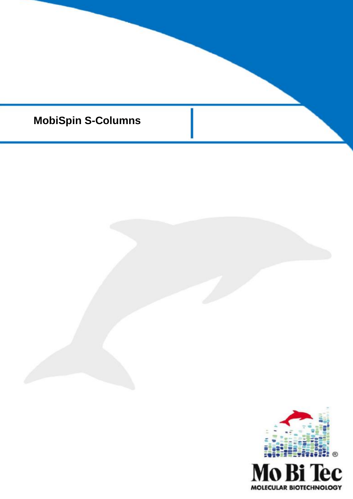

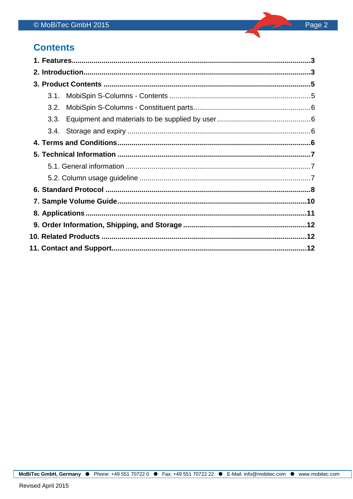## **Contents**

l,

| 3.1. |  |
|------|--|
| 3.2. |  |
| 3.3. |  |
|      |  |
|      |  |
|      |  |
|      |  |
|      |  |
|      |  |
|      |  |
|      |  |
|      |  |
|      |  |
|      |  |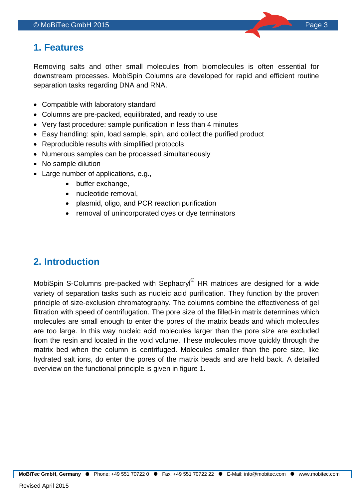## <span id="page-2-0"></span>**1. Features**

Removing salts and other small molecules from biomolecules is often essential for downstream processes. MobiSpin Columns are developed for rapid and efficient routine separation tasks regarding DNA and RNA.

- Compatible with laboratory standard
- Columns are pre-packed, equilibrated, and ready to use
- Very fast procedure: sample purification in less than 4 minutes
- Easy handling: spin, load sample, spin, and collect the purified product
- Reproducible results with simplified protocols
- Numerous samples can be processed simultaneously
- No sample dilution
- Large number of applications, e.g.,
	- buffer exchange,
	- nucleotide removal,
	- plasmid, oligo, and PCR reaction purification
	- removal of unincorporated dyes or dye terminators

# <span id="page-2-1"></span>**2. Introduction**

MobiSpin S-Columns pre-packed with Sephacryl<sup>®</sup> HR matrices are designed for a wide variety of separation tasks such as nucleic acid purification. They function by the proven principle of size-exclusion chromatography. The columns combine the effectiveness of gel filtration with speed of centrifugation. The pore size of the filled-in matrix determines which molecules are small enough to enter the pores of the matrix beads and which molecules are too large. In this way nucleic acid molecules larger than the pore size are excluded from the resin and located in the void volume. These molecules move quickly through the matrix bed when the column is centrifuged. Molecules smaller than the pore size, like hydrated salt ions, do enter the pores of the matrix beads and are held back. A detailed overview on the functional principle is given in figure 1.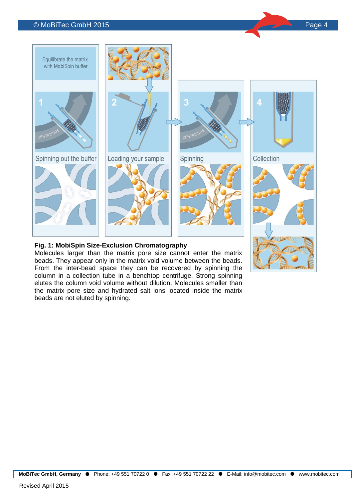#### © MoBiTec GmbH 2015 Page 4



#### **Fig. 1: MobiSpin Size-Exclusion Chromatography**

Molecules larger than the matrix pore size cannot enter the matrix beads. They appear only in the matrix void volume between the beads. From the inter-bead space they can be recovered by spinning the column in a collection tube in a benchtop centrifuge. Strong spinning elutes the column void volume without dilution. Molecules smaller than the matrix pore size and hydrated salt ions located inside the matrix beads are not eluted by spinning.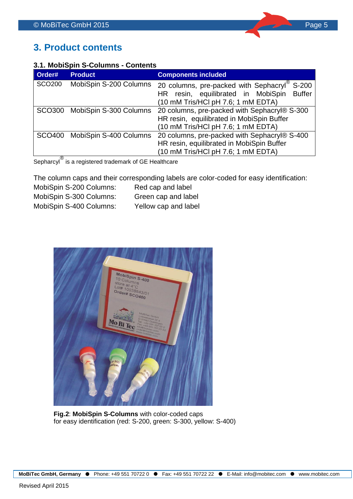## <span id="page-4-0"></span>**3. Product contents**

### <span id="page-4-1"></span>**3.1. MobiSpin S-Columns - Contents**

| Order#        | <b>Product</b>                | <b>Components included</b>                              |
|---------------|-------------------------------|---------------------------------------------------------|
| <b>SCO200</b> | MobiSpin S-200 Columns        | 20 columns, pre-packed with Sephacryl®<br>S-200         |
|               |                               | resin, equilibrated in MobiSpin<br><b>Buffer</b><br>HR. |
|               |                               | (10 mM Tris/HCl pH 7.6; 1 mM EDTA)                      |
|               | SCO300 MobiSpin S-300 Columns | 20 columns, pre-packed with Sephacryl® S-300            |
|               |                               | HR resin, equilibrated in MobiSpin Buffer               |
|               |                               | (10 mM Tris/HCl pH 7.6; 1 mM EDTA)                      |
|               | SCO400 MobiSpin S-400 Columns | 20 columns, pre-packed with Sephacryl® S-400            |
|               |                               | HR resin, equilibrated in MobiSpin Buffer               |
| ⋒             |                               | (10 mM Tris/HCl pH 7.6; 1 mM EDTA)                      |

Sepharcyl<sup>®</sup> is a registered trademark of GE Healthcare

The column caps and their corresponding labels are color-coded for easy identification:

| MobiSpin S-200 Columns: | Red cap and label    |
|-------------------------|----------------------|
| MobiSpin S-300 Columns: | Green cap and label  |
| MobiSpin S-400 Columns: | Yellow cap and label |



**Fig.2**: **MobiSpin S-Columns** with color-coded caps for easy identification (red: S-200, green: S-300, yellow: S-400)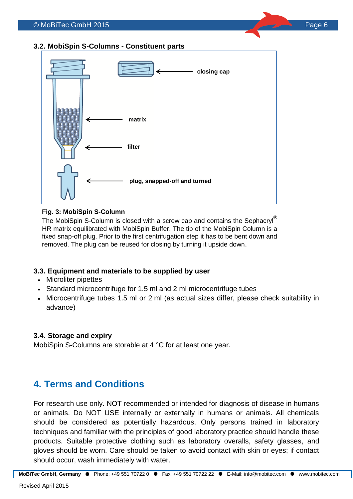### <span id="page-5-0"></span>**3.2. MobiSpin S-Columns - Constituent parts**



#### **Fig. 3: MobiSpin S-Column**

The MobiSpin S-Column is closed with a screw cap and contains the Sephacryl<sup>®</sup> HR matrix equilibrated with MobiSpin Buffer. The tip of the MobiSpin Column is a fixed snap-off plug. Prior to the first centrifugation step it has to be bent down and removed. The plug can be reused for closing by turning it upside down.

### <span id="page-5-1"></span>**3.3. Equipment and materials to be supplied by user**

- Microliter pipettes
- Standard microcentrifuge for 1.5 ml and 2 ml microcentrifuge tubes
- Microcentrifuge tubes 1.5 ml or 2 ml (as actual sizes differ, please check suitability in advance)

### <span id="page-5-2"></span>**3.4. Storage and expiry**

MobiSpin S-Columns are storable at 4 °C for at least one year.

### <span id="page-5-3"></span>**4. Terms and Conditions**

For research use only. NOT recommended or intended for diagnosis of disease in humans or animals. Do NOT USE internally or externally in humans or animals. All chemicals should be considered as potentially hazardous. Only persons trained in laboratory techniques and familiar with the principles of good laboratory practice should handle these products. Suitable protective clothing such as laboratory overalls, safety glasses, and gloves should be worn. Care should be taken to avoid contact with skin or eyes; if contact should occur, wash immediately with water.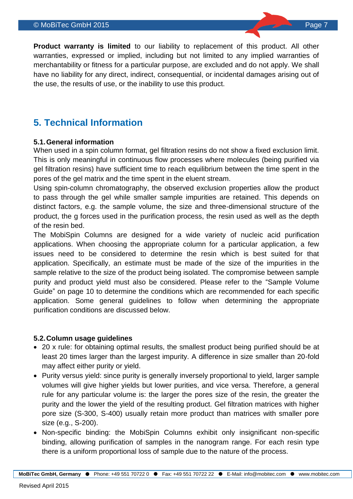#### © MoBiTec GmbH 2015 Page 7

**Product warranty is limited** to our liability to replacement of this product. All other warranties, expressed or implied, including but not limited to any implied warranties of merchantability or fitness for a particular purpose, are excluded and do not apply. We shall have no liability for any direct, indirect, consequential, or incidental damages arising out of the use, the results of use, or the inability to use this product.

### <span id="page-6-0"></span>**5. Technical Information**

#### **5.1.General information**

When used in a spin column format, gel filtration resins do not show a fixed exclusion limit. This is only meaningful in continuous flow processes where molecules (being purified via gel filtration resins) have sufficient time to reach equilibrium between the time spent in the pores of the gel matrix and the time spent in the eluent stream.

Using spin-column chromatography, the observed exclusion properties allow the product to pass through the gel while smaller sample impurities are retained. This depends on distinct factors, e.g. the sample volume, the size and three-dimensional structure of the product, the g forces used in the purification process, the resin used as well as the depth of the resin bed.

The MobiSpin Columns are designed for a wide variety of nucleic acid purification applications. When choosing the appropriate column for a particular application, a few issues need to be considered to determine the resin which is best suited for that application. Specifically, an estimate must be made of the size of the impurities in the sample relative to the size of the product being isolated. The compromise between sample purity and product yield must also be considered. Please refer to the "Sample Volume Guide" on page 10 to determine the conditions which are recommended for each specific application. Some general guidelines to follow when determining the appropriate purification conditions are discussed below.

### **5.2.Column usage guidelines**

- 20 x rule: for obtaining optimal results, the smallest product being purified should be at least 20 times larger than the largest impurity. A difference in size smaller than 20-fold may affect either purity or yield.
- Purity versus yield: since purity is generally inversely proportional to yield, larger sample volumes will give higher yields but lower purities, and vice versa. Therefore, a general rule for any particular volume is: the larger the pores size of the resin, the greater the purity and the lower the yield of the resulting product. Gel filtration matrices with higher pore size (S-300, S-400) usually retain more product than matrices with smaller pore size (e.g., S-200).
- Non-specific binding: the MobiSpin Columns exhibit only insignificant non-specific binding, allowing purification of samples in the nanogram range. For each resin type there is a uniform proportional loss of sample due to the nature of the process.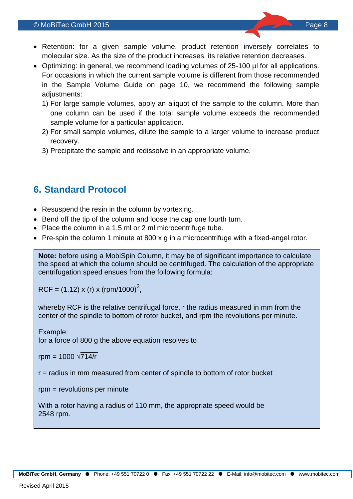- Retention: for a given sample volume, product retention inversely correlates to molecular size. As the size of the product increases, its relative retention decreases.
- Optimizing: in general, we recommend loading volumes of 25-100 µl for all applications. For occasions in which the current sample volume is different from those recommended in the Sample Volume Guide on page 10, we recommend the following sample adjustments:
	- 1) For large sample volumes, apply an aliquot of the sample to the column. More than one column can be used if the total sample volume exceeds the recommended sample volume for a particular application.
	- 2) For small sample volumes, dilute the sample to a larger volume to increase product recovery.
	- 3) Precipitate the sample and redissolve in an appropriate volume.

# <span id="page-7-0"></span>**6. Standard Protocol**

- Resuspend the resin in the column by vortexing.
- Bend off the tip of the column and loose the cap one fourth turn.
- Place the column in a 1.5 ml or 2 ml microcentrifuge tube.
- Pre-spin the column 1 minute at 800 x g in a microcentrifuge with a fixed-angel rotor.

**Note:** before using a MobiSpin Column, it may be of significant importance to calculate the speed at which the column should be centrifuged. The calculation of the appropriate centrifugation speed ensues from the following formula:

RCF = (1.12) x (r) x (rpm/1000)<sup>2</sup>,

whereby RCF is the relative centrifugal force, r the radius measured in mm from the center of the spindle to bottom of rotor bucket, and rpm the revolutions per minute.

Example: for a force of 800 g the above equation resolves to

rpm =  $1000 \sqrt{714/r}$ 

r = radius in mm measured from center of spindle to bottom of rotor bucket

rpm = revolutions per minute

With a rotor having a radius of 110 mm, the appropriate speed would be 2548 rpm.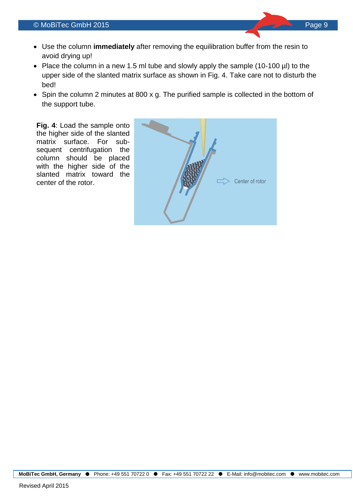- Use the column **immediately** after removing the equilibration buffer from the resin to avoid drying up!
- Place the column in a new 1.5 ml tube and slowly apply the sample (10-100 µl) to the upper side of the slanted matrix surface as shown in Fig. 4. Take care not to disturb the bed!
- Spin the column 2 minutes at 800 x g. The purified sample is collected in the bottom of the support tube.

**Fig. 4**: Load the sample onto the higher side of the slanted matrix surface. For subsequent centrifugation the column should be placed with the higher side of the slanted matrix toward the center of the rotor.

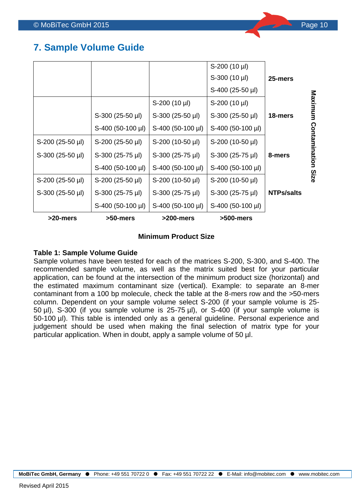## <span id="page-9-0"></span>**7. Sample Volume Guide**

| >20-mers           | >50-mers           | >200-mers          | >500-mers          |                   |               |
|--------------------|--------------------|--------------------|--------------------|-------------------|---------------|
|                    | S-400 (50-100 µl)  | S-400 (50-100 µl)  | S-400 (50-100 µl)  |                   |               |
| S-300 (25-50 µl)   | S-300 (25-75 µl)   | S-300 (25-75 µl)   | S-300 (25-75 µl)   | <b>NTPs/salts</b> |               |
| S-200 (25-50 µl)   | $S-200$ (25-50 µl) | S-200 (10-50 µl)   | S-200 (10-50 µl)   |                   | Size          |
|                    | S-400 (50-100 µl)  | S-400 (50-100 µl)  | S-400 (50-100 µl)  |                   |               |
| S-300 (25-50 µl)   | S-300 (25-75 µl)   | S-300 (25-75 µl)   | S-300 (25-75 µl)   | 8-mers            |               |
| $S-200$ (25-50 µl) | $S-200$ (25-50 µl) | S-200 (10-50 µl)   | S-200 (10-50 µl)   |                   | Contamination |
|                    | S-400 (50-100 µl)  | S-400 (50-100 µl)  | S-400 (50-100 µl)  |                   |               |
|                    | S-300 (25-50 µl)   | $S-300$ (25-50 µl) | $S-300$ (25-50 µl) | 18-mers           |               |
|                    |                    | S-200 (10 µl)      | S-200 (10 µl)      |                   | Maximum       |
|                    |                    |                    | S-400 (25-50 µl)   |                   |               |
|                    |                    |                    | S-300 (10 µl)      | 25-mers           |               |
|                    |                    |                    | S-200 (10 µl)      |                   |               |

### **Minimum Product Size**

### **Table 1: Sample Volume Guide**

Sample volumes have been tested for each of the matrices S-200, S-300, and S-400. The recommended sample volume, as well as the matrix suited best for your particular application, can be found at the intersection of the minimum product size (horizontal) and the estimated maximum contaminant size (vertical). Example: to separate an 8-mer contaminant from a 100 bp molecule, check the table at the 8-mers row and the >50-mers column. Dependent on your sample volume select S-200 (if your sample volume is 25- 50 µl), S-300 (if you sample volume is 25-75 µl), or S-400 (if your sample volume is 50-100 µl). This table is intended only as a general guideline. Personal experience and judgement should be used when making the final selection of matrix type for your particular application. When in doubt, apply a sample volume of 50 µl.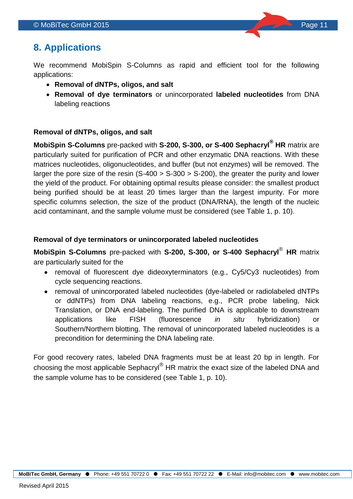## <span id="page-10-0"></span>**8. Applications**

We recommend MobiSpin S-Columns as rapid and efficient tool for the following applications:

- **Removal of dNTPs, oligos, and salt**
- **Removal of dye terminators** or unincorporated **labeled nucleotides** from DNA labeling reactions

### **Removal of dNTPs, oligos, and salt**

**MobiSpin S-Columns** pre-packed with **S-200, S-300, or S-400 Sephacryl® HR** matrix are particularly suited for purification of PCR and other enzymatic DNA reactions. With these matrices nucleotides, oligonucleotides, and buffer (but not enzymes) will be removed. The larger the pore size of the resin  $(S-400 > S-300 > S-200)$ , the greater the purity and lower the yield of the product. For obtaining optimal results please consider: the smallest product being purified should be at least 20 times larger than the largest impurity. For more specific columns selection, the size of the product (DNA/RNA), the length of the nucleic acid contaminant, and the sample volume must be considered (see Table 1, p. 10).

### **Removal of dye terminators or unincorporated labeled nucleotides**

**MobiSpin S-Columns** pre-packed with **S-200, S-300, or S-400 Sephacryl**® **HR** matrix are particularly suited for the

- removal of fluorescent dye dideoxyterminators (e.g., Cy5/Cy3 nucleotides) from cycle sequencing reactions.
- removal of unincorporated labeled nucleotides (dye-labeled or radiolabeled dNTPs or ddNTPs) from DNA labeling reactions, e.g., PCR probe labeling, Nick Translation, or DNA end-labeling. The purified DNA is applicable to downstream applications like FISH (fluorescence *in situ* hybridization) or Southern/Northern blotting. The removal of unincorporated labeled nucleotides is a precondition for determining the DNA labeling rate.

For good recovery rates, labeled DNA fragments must be at least 20 bp in length. For choosing the most applicable Sephacryl® HR matrix the exact size of the labeled DNA and the sample volume has to be considered (see Table 1, p. 10).